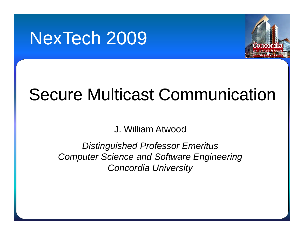# NexTech 2009



# Secure Multicast Communication

J. William Atwood

*Distinguished Professor Emeritus Computer Science and Software Engineering Concordia University*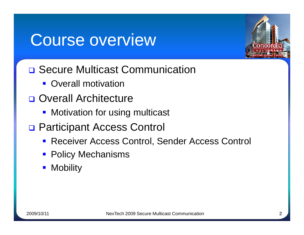### Course overview



- **□ Secure Multicast Communication** 
	- **Overall motivation**
- **Overall Architecture** 
	- **Motivation for using multicast**
- □ Participant Access Control
	- **Receiver Access Control, Sender Access Control**
	- **Policy Mechanisms**
	- **Mobility**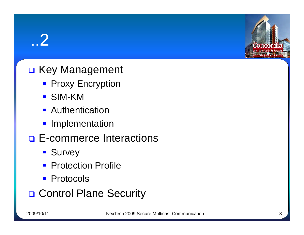### ..2

#### □ Key Management

- **Proxy Encryption**
- SIM-KM
- **Authentication**
- **Implementation**
- **E-commerce Interactions** 
	- **Survey**
	- **Protection Profile**
	- **Protocols**
- □ Control Plane Security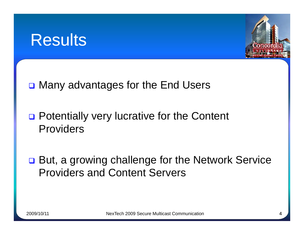



- **□ Many advantages for the End Users**
- □ Potentially very lucrative for the Content Providers
- **□ But, a growing challenge for the Network Service** Providers and Content Servers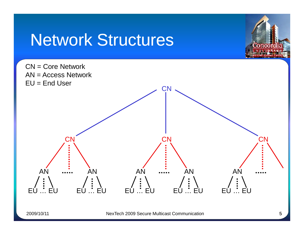# Network Structures



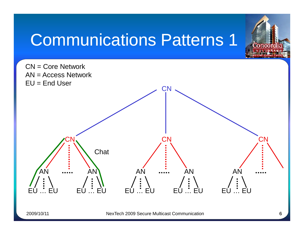# Communications Patterns 1

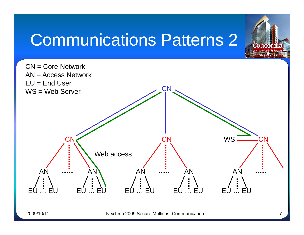# **Communications Patterns 2 Connect**

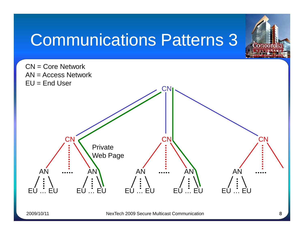# Communications Patterns 3

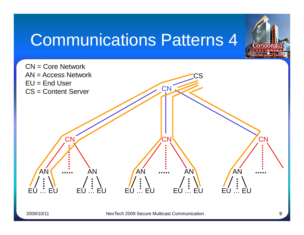# Communications Patterns 4

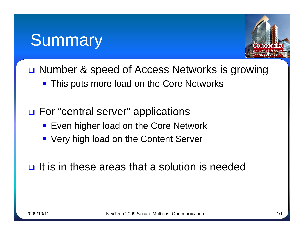### **Summary**



- □ Number & speed of Access Networks is growing
	- **This puts more load on the Core Networks**
- **□ For "central server" applications** 
	- **Even higher load on the Core Network**
	- **Very high load on the Content Server**
- $\Box$  It is in these areas that a solution is needed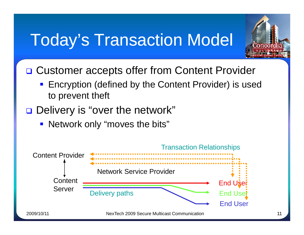## **Today's Transaction Model**



- □ Customer accepts offer from Content Provider
	- Encryption (defined by the Content Provider) is used to prevent theft
- Delivery is "over the network"
	- **Network only "moves the bits"**

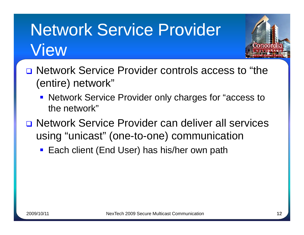# Network Service Provider View



- **Network Service Provider only charges for "access to** the network"
- Network Service Provider can deliver all services using "unicast" (one-to-one) communication
	- **Each client (End User) has his/her own path**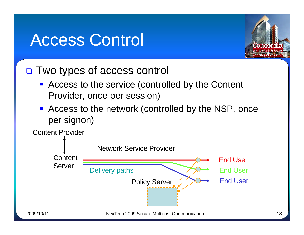### **Access Control**



#### □ Two types of access control

- Access to the service (controlled by the Content Provider, once per session)
- Access to the network (controlled by the NSP, once per signon)

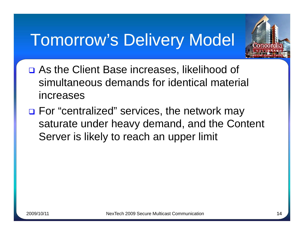# Tomorrow's Delivery Model



- **□ As the Client Base increases, likelihood of** simultaneous demands for identical material increases
- **□ For "centralized" services, the network may** saturate under heavy demand, and the Content Server is likely to reach an upper limit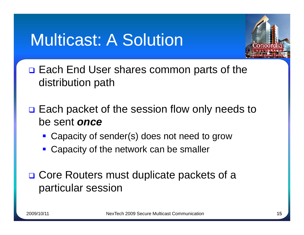# **Multicast: A Solution**



- **□ Each End User shares common parts of the** distribution path
- $\Box$  Each packet of the session flow only needs to be sent *once*
	- Capacity of sender(s) does not need to grow
	- **Capacity of the network can be smaller**
- **□ Core Routers must duplicate packets of a** particular session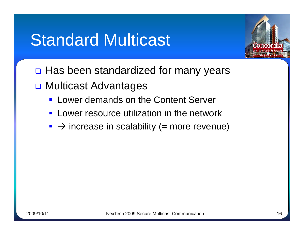### **Standard Multicast**



- $\Box$  Has been standardized for many years
- **□ Multicast Advantages** 
	- **Lower demands on the Content Server**
	- **EXEC** Lower resource utilization in the network
	- $\rightarrow$  increase in scalability (= more revenue)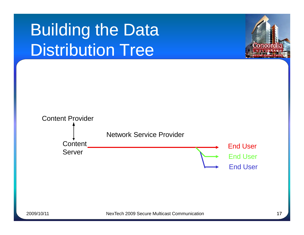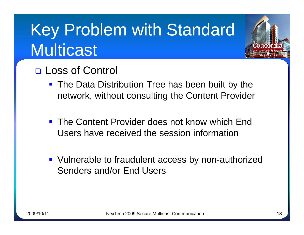# Key Problem with Standard Multicast



- **The Data Distribution Tree has been built by the** network, without consulting the Content Provider
- **The Content Provider does not know which End** Users have received the session information
- **URIM** Vulnerable to fraudulent access by non-authorized Senders and/or End Users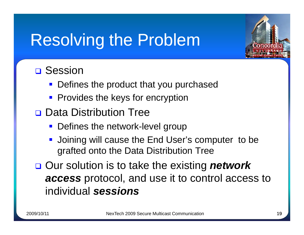# Resolving the Problem



#### **□ Session**

- **Defines the product that you purchased**
- **Provides the keys for encryption**
- **Data Distribution Tree** 
	- **Defines the network-level group**
	- **Joining will cause the End User's computer to be** grafted onto the Data Distribution Tree
- **□ Our solution is to take the existing network** *access* protocol, and use it to control access to individual *sessions*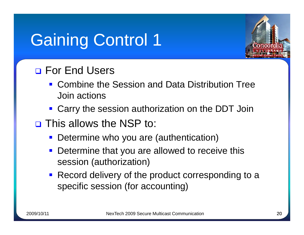# **Gaining Control 1**



#### **D** For End Users

- Combine the Session and Data Distribution Tree Join actions
- **Carry the session authorization on the DDT Join**
- **D** This allows the NSP to:
	- **Determine who you are (authentication)**
	- **Determine that you are allowed to receive this** session (authorization)
	- **Record delivery of the product corresponding to a** specific session (for accounting)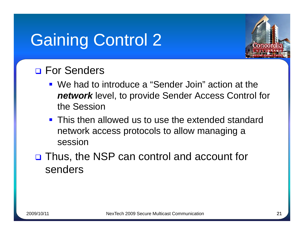# **Gaining Control 2**



#### **D** For Senders

- We had to introduce a "Sender Join" action at the *network* level, to provide Sender Access Control for the Session
- **This then allowed us to use the extended standard** network access protocols to allow managing a session
- □ Thus, the NSP can control and account for senders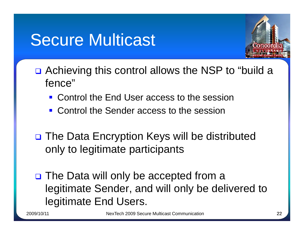# **Secure Multicast**



- **□** Achieving this control allows the NSP to "build a fence"
	- Control the End User access to the session
	- **Control the Sender access to the session**
- □ The Data Encryption Keys will be distributed only to legitimate participants
- □ The Data will only be accepted from a legitimate Sender, and will only be delivered to legitimate End Users.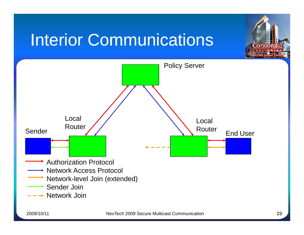# **Interior Communications**



Conco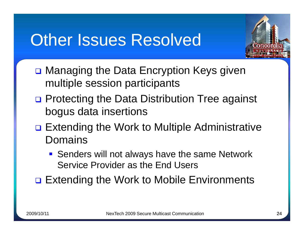# Other Issues Resolved



- **□ Managing the Data Encryption Keys given** multiple session participants
- **□** Protecting the Data Distribution Tree against bogus data insertions
- **□ Extending the Work to Multiple Administrative** Domains
	- **Senders will not always have the same Network** Service Provider as the End Users
- **□ Extending the Work to Mobile Environments**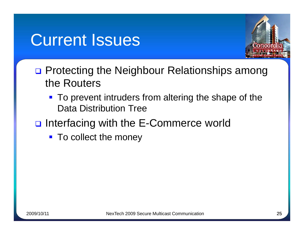### **Current Issues**



- □ Protecting the Neighbour Relationships among the Routers
	- **To prevent intruders from altering the shape of the** Data Distribution Tree
- nterfacing with the E-Commerce world
	- To collect the money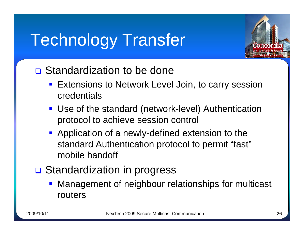# **Technology Transfer**



#### **□** Standardization to be done

- **Extensions to Network Level Join, to carry session** credentials
- Use of the standard (network-level) Authentication protocol to achieve session control
- **Application of a newly-defined extension to the** standard Authentication protocol to permit "fast" mobile handoff
- **□** Standardization in progress
	- **Management of neighbour relationships for multicast** routers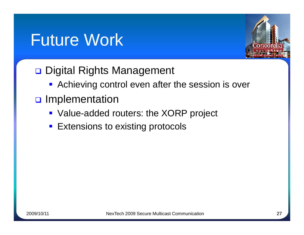# Future Work,



#### Digital Rights Management

- **Achieving control even after the session is over**
- **D** Implementation
	- **Value-added routers: the XORP project**
	- **Extensions to existing protocols**